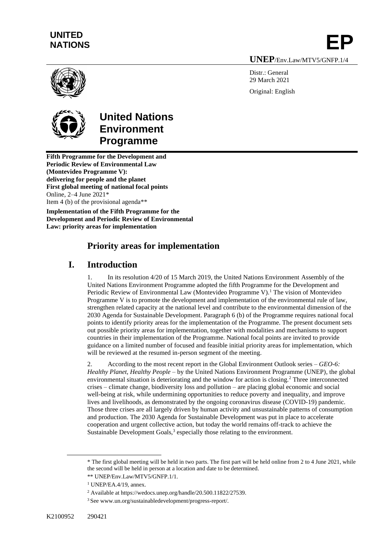# **UNITED**  UNITED<br>NATIONS **EP**

**UNEP**/Env.Law/MTV5/GNFP.1/4

Distr · General 29 March 2021 Original: English



# **United Nations Environment Programme**

**Fifth Programme for the Development and Periodic Review of Environmental Law (Montevideo Programme V): delivering for people and the planet First global meeting of national focal points** Online, 2–4 June 2021\* Item 4 (b) of the provisional agenda\*\*

**Implementation of the Fifth Programme for the Development and Periodic Review of Environmental Law: priority areas for implementation**

# **Priority areas for implementation**

## **I. Introduction**

1. In its resolution 4/20 of 15 March 2019, the United Nations Environment Assembly of the United Nations Environment Programme adopted the fifth Programme for the Development and Periodic Review of Environmental Law (Montevideo Programme V).<sup>1</sup> The vision of Montevideo Programme V is to promote the development and implementation of the environmental rule of law, strengthen related capacity at the national level and contribute to the environmental dimension of the 2030 Agenda for Sustainable Development. Paragraph 6 (b) of the Programme requires national focal points to identify priority areas for the implementation of the Programme. The present document sets out possible priority areas for implementation, together with modalities and mechanisms to support countries in their implementation of the Programme. National focal points are invited to provide guidance on a limited number of focused and feasible initial priority areas for implementation, which will be reviewed at the resumed in-person segment of the meeting.

2. According to the most recent report in the Global Environment Outlook series – *GEO-6: Healthy Planet, Healthy People* – by the United Nations Environment Programme (UNEP), the global environmental situation is deteriorating and the window for action is closing.<sup>2</sup> Three interconnected crises – climate change, biodiversity loss and pollution – are placing global economic and social well-being at risk, while undermining opportunities to reduce poverty and inequality, and improve lives and livelihoods, as demonstrated by the ongoing coronavirus disease (COVID-19) pandemic. Those three crises are all largely driven by human activity and unsustainable patterns of consumption and production. The 2030 Agenda for Sustainable Development was put in place to accelerate cooperation and urgent collective action, but today the world remains off-track to achieve the Sustainable Development Goals, $3$  especially those relating to the environment.

<sup>\*</sup> The first global meeting will be held in two parts. The first part will be held online from 2 to 4 June 2021, while the second will be held in person at a location and date to be determined.

<sup>\*\*</sup> UNEP/Env.Law/MTV5/GNFP.1/1.

<sup>1</sup> UNEP/EA.4/19, annex.

<sup>2</sup> Available at https://wedocs.unep.org/handle/20.500.11822/27539.

<sup>3</sup> See [www.un.org/sustainabledevelopment/progress-report/.](http://www.un.org/sustainabledevelopment/progress-report/)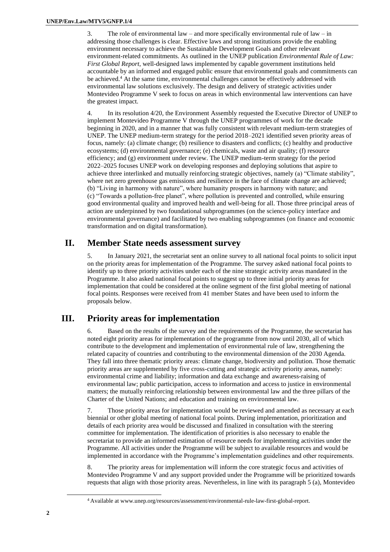3. The role of environmental law – and more specifically environmental rule of law – in addressing those challenges is clear. Effective laws and strong institutions provide the enabling environment necessary to achieve the Sustainable Development Goals and other relevant environment-related commitments. As outlined in the UNEP publication *Environmental Rule of Law: First Global Report*, well-designed laws implemented by capable government institutions held accountable by an informed and engaged public ensure that environmental goals and commitments can be achieved.<sup>4</sup> At the same time, environmental challenges cannot be effectively addressed with environmental law solutions exclusively. The design and delivery of strategic activities under Montevideo Programme V seek to focus on areas in which environmental law interventions can have the greatest impact.

4. In its resolution 4/20, the Environment Assembly requested the Executive Director of UNEP to implement Montevideo Programme V through the UNEP programmes of work for the decade beginning in 2020, and in a manner that was fully consistent with relevant medium-term strategies of UNEP. The UNEP medium-term strategy for the period 2018–2021 identified seven priority areas of focus, namely: (a) climate change; (b) resilience to disasters and conflicts; (c) healthy and productive ecosystems; (d) environmental governance; (e) chemicals, waste and air quality; (f) resource efficiency; and (g) environment under review. The UNEP medium-term strategy for the period 2022–2025 focuses UNEP work on developing responses and deploying solutions that aspire to achieve three interlinked and mutually reinforcing strategic objectives, namely (a) "Climate stability", where net zero greenhouse gas emissions and resilience in the face of climate change are achieved; (b) "Living in harmony with nature", where humanity prospers in harmony with nature; and (c) "Towards a pollution-free planet", where pollution is prevented and controlled, while ensuring good environmental quality and improved health and well-being for all. Those three principal areas of action are underpinned by two foundational subprogrammes (on the science-policy interface and environmental governance) and facilitated by two enabling subprogrammes (on finance and economic transformation and on digital transformation).

## **II. Member State needs assessment survey**

5. In January 2021, the secretariat sent an online survey to all national focal points to solicit input on the priority areas for implementation of the Programme. The survey asked national focal points to identify up to three priority activities under each of the nine strategic activity areas mandated in the Programme. It also asked national focal points to suggest up to three initial priority areas for implementation that could be considered at the online segment of the first global meeting of national focal points. Responses were received from 41 member States and have been used to inform the proposals below.

## **III. Priority areas for implementation**

6. Based on the results of the survey and the requirements of the Programme, the secretariat has noted eight priority areas for implementation of the programme from now until 2030, all of which contribute to the development and implementation of environmental rule of law, strengthening the related capacity of countries and contributing to the environmental dimension of the 2030 Agenda. They fall into three thematic priority areas: climate change, biodiversity and pollution. Those thematic priority areas are supplemented by five cross-cutting and strategic activity priority areas, namely: environmental crime and liability; information and data exchange and awareness-raising of environmental law; public participation, access to information and access to justice in environmental matters; the mutually reinforcing relationship between environmental law and the three pillars of the Charter of the United Nations; and education and training on environmental law.

7. Those priority areas for implementation would be reviewed and amended as necessary at each biennial or other global meeting of national focal points. During implementation, prioritization and details of each priority area would be discussed and finalized in consultation with the steering committee for implementation. The identification of priorities is also necessary to enable the secretariat to provide an informed estimation of resource needs for implementing activities under the Programme. All activities under the Programme will be subject to available resources and would be implemented in accordance with the Programme's implementation guidelines and other requirements.

8. The priority areas for implementation will inform the core strategic focus and activities of Montevideo Programme V and any support provided under the Programme will be prioritized towards requests that align with those priority areas. Nevertheless, in line with its paragraph 5 (a), Montevideo

<sup>4</sup> Available at www.unep.org/resources/assessment/environmental-rule-law-first-global-report.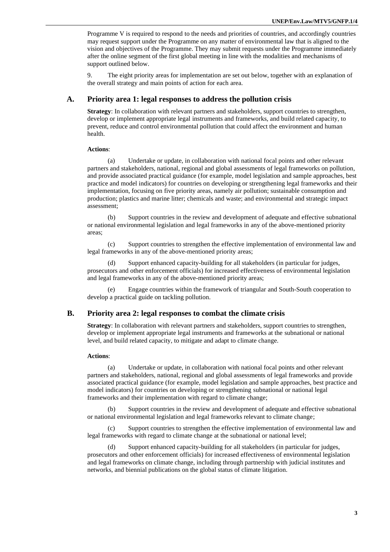Programme V is required to respond to the needs and priorities of countries, and accordingly countries may request support under the Programme on any matter of environmental law that is aligned to the vision and objectives of the Programme. They may submit requests under the Programme immediately after the online segment of the first global meeting in line with the modalities and mechanisms of support outlined below.

9. The eight priority areas for implementation are set out below, together with an explanation of the overall strategy and main points of action for each area.

#### **A. Priority area 1: legal responses to address the pollution crisis**

**Strategy**: In collaboration with relevant partners and stakeholders, support countries to strengthen, develop or implement appropriate legal instruments and frameworks, and build related capacity, to prevent, reduce and control environmental pollution that could affect the environment and human health.

#### **Actions**:

(a) Undertake or update, in collaboration with national focal points and other relevant partners and stakeholders, national, regional and global assessments of legal frameworks on pollution, and provide associated practical guidance (for example, model legislation and sample approaches, best practice and model indicators) for countries on developing or strengthening legal frameworks and their implementation, focusing on five priority areas, namely air pollution; sustainable consumption and production; plastics and marine litter; chemicals and waste; and environmental and strategic impact assessment;

(b) Support countries in the review and development of adequate and effective subnational or national environmental legislation and legal frameworks in any of the above-mentioned priority areas;

(c) Support countries to strengthen the effective implementation of environmental law and legal frameworks in any of the above-mentioned priority areas;

(d) Support enhanced capacity-building for all stakeholders (in particular for judges, prosecutors and other enforcement officials) for increased effectiveness of environmental legislation and legal frameworks in any of the above-mentioned priority areas;

(e) Engage countries within the framework of triangular and South-South cooperation to develop a practical guide on tackling pollution.

### **B. Priority area 2: legal responses to combat the climate crisis**

**Strategy**: In collaboration with relevant partners and stakeholders, support countries to strengthen, develop or implement appropriate legal instruments and frameworks at the subnational or national level, and build related capacity, to mitigate and adapt to climate change.

#### **Actions**:

(a) Undertake or update, in collaboration with national focal points and other relevant partners and stakeholders, national, regional and global assessments of legal frameworks and provide associated practical guidance (for example, model legislation and sample approaches, best practice and model indicators) for countries on developing or strengthening subnational or national legal frameworks and their implementation with regard to climate change;

(b) Support countries in the review and development of adequate and effective subnational or national environmental legislation and legal frameworks relevant to climate change;

(c) Support countries to strengthen the effective implementation of environmental law and legal frameworks with regard to climate change at the subnational or national level;

(d) Support enhanced capacity-building for all stakeholders (in particular for judges, prosecutors and other enforcement officials) for increased effectiveness of environmental legislation and legal frameworks on climate change, including through partnership with judicial institutes and networks, and biennial publications on the global status of climate litigation.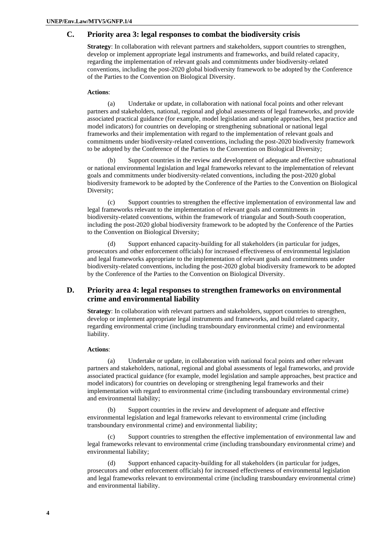### **C. Priority area 3: legal responses to combat the biodiversity crisis**

**Strategy**: In collaboration with relevant partners and stakeholders, support countries to strengthen, develop or implement appropriate legal instruments and frameworks, and build related capacity, regarding the implementation of relevant goals and commitments under biodiversity-related conventions, including the post-2020 global biodiversity framework to be adopted by the Conference of the Parties to the Convention on Biological Diversity.

#### **Actions**:

(a) Undertake or update, in collaboration with national focal points and other relevant partners and stakeholders, national, regional and global assessments of legal frameworks, and provide associated practical guidance (for example, model legislation and sample approaches, best practice and model indicators) for countries on developing or strengthening subnational or national legal frameworks and their implementation with regard to the implementation of relevant goals and commitments under biodiversity-related conventions, including the post-2020 biodiversity framework to be adopted by the Conference of the Parties to the Convention on Biological Diversity;

Support countries in the review and development of adequate and effective subnational or national environmental legislation and legal frameworks relevant to the implementation of relevant goals and commitments under biodiversity-related conventions, including the post-2020 global biodiversity framework to be adopted by the Conference of the Parties to the Convention on Biological Diversity;

(c) Support countries to strengthen the effective implementation of environmental law and legal frameworks relevant to the implementation of relevant goals and commitments in biodiversity-related conventions, within the framework of triangular and South-South cooperation, including the post-2020 global biodiversity framework to be adopted by the Conference of the Parties to the Convention on Biological Diversity;

(d) Support enhanced capacity-building for all stakeholders (in particular for judges, prosecutors and other enforcement officials) for increased effectiveness of environmental legislation and legal frameworks appropriate to the implementation of relevant goals and commitments under biodiversity-related conventions, including the post-2020 global biodiversity framework to be adopted by the Conference of the Parties to the Convention on Biological Diversity.

## **D. Priority area 4: legal responses to strengthen frameworks on environmental crime and environmental liability**

**Strategy**: In collaboration with relevant partners and stakeholders, support countries to strengthen, develop or implement appropriate legal instruments and frameworks, and build related capacity, regarding environmental crime (including transboundary environmental crime) and environmental liability.

#### **Actions**:

(a) Undertake or update, in collaboration with national focal points and other relevant partners and stakeholders, national, regional and global assessments of legal frameworks, and provide associated practical guidance (for example, model legislation and sample approaches, best practice and model indicators) for countries on developing or strengthening legal frameworks and their implementation with regard to environmental crime (including transboundary environmental crime) and environmental liability;

Support countries in the review and development of adequate and effective environmental legislation and legal frameworks relevant to environmental crime (including transboundary environmental crime) and environmental liability;

(c) Support countries to strengthen the effective implementation of environmental law and legal frameworks relevant to environmental crime (including transboundary environmental crime) and environmental liability;

Support enhanced capacity-building for all stakeholders (in particular for judges, prosecutors and other enforcement officials) for increased effectiveness of environmental legislation and legal frameworks relevant to environmental crime (including transboundary environmental crime) and environmental liability.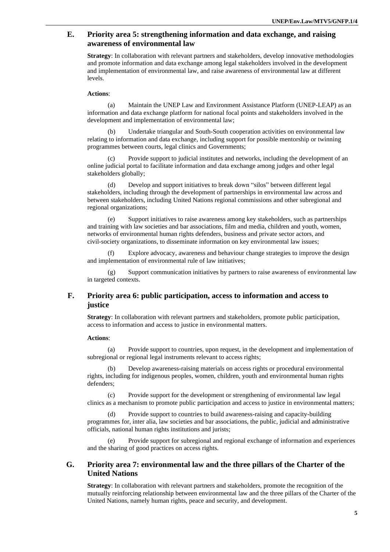## **E. Priority area 5: strengthening information and data exchange, and raising awareness of environmental law**

**Strategy**: In collaboration with relevant partners and stakeholders, develop innovative methodologies and promote information and data exchange among legal stakeholders involved in the development and implementation of environmental law, and raise awareness of environmental law at different levels.

#### **Actions**:

(a) Maintain the UNEP Law and Environment Assistance Platform (UNEP-LEAP) as an information and data exchange platform for national focal points and stakeholders involved in the development and implementation of environmental law;

Undertake triangular and South-South cooperation activities on environmental law relating to information and data exchange, including support for possible mentorship or twinning programmes between courts, legal clinics and Governments;

Provide support to judicial institutes and networks, including the development of an online judicial portal to facilitate information and data exchange among judges and other legal stakeholders globally;

(d) Develop and support initiatives to break down "silos" between different legal stakeholders, including through the development of partnerships in environmental law across and between stakeholders, including United Nations regional commissions and other subregional and regional organizations;

(e) Support initiatives to raise awareness among key stakeholders, such as partnerships and training with law societies and bar associations, film and media, children and youth, women, networks of environmental human rights defenders, business and private sector actors, and civil-society organizations, to disseminate information on key environmental law issues;

(f) Explore advocacy, awareness and behaviour change strategies to improve the design and implementation of environmental rule of law initiatives;

(g) Support communication initiatives by partners to raise awareness of environmental law in targeted contexts.

## **F. Priority area 6: public participation, access to information and access to justice**

**Strategy**: In collaboration with relevant partners and stakeholders, promote public participation, access to information and access to justice in environmental matters.

#### **Actions**:

(a) Provide support to countries, upon request, in the development and implementation of subregional or regional legal instruments relevant to access rights;

(b) Develop awareness-raising materials on access rights or procedural environmental rights, including for indigenous peoples, women, children, youth and environmental human rights defenders;

(c) Provide support for the development or strengthening of environmental law legal clinics as a mechanism to promote public participation and access to justice in environmental matters;

(d) Provide support to countries to build awareness-raising and capacity-building programmes for, inter alia, law societies and bar associations, the public, judicial and administrative officials, national human rights institutions and jurists;

Provide support for subregional and regional exchange of information and experiences and the sharing of good practices on access rights.

## **G. Priority area 7: environmental law and the three pillars of the Charter of the United Nations**

**Strategy**: In collaboration with relevant partners and stakeholders, promote the recognition of the mutually reinforcing relationship between environmental law and the three pillars of the Charter of the United Nations, namely human rights, peace and security, and development.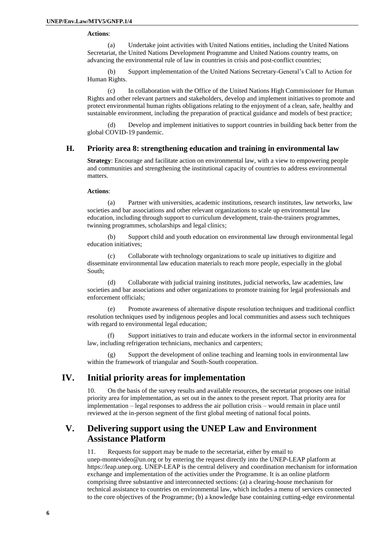#### **Actions**:

(a) Undertake joint activities with United Nations entities, including the United Nations Secretariat, the United Nations Development Programme and United Nations country teams, on advancing the environmental rule of law in countries in crisis and post-conflict countries;

Support implementation of the United Nations Secretary-General's Call to Action for Human Rights.

(c) In collaboration with the Office of the United Nations High Commissioner for Human Rights and other relevant partners and stakeholders, develop and implement initiatives to promote and protect environmental human rights obligations relating to the enjoyment of a clean, safe, healthy and sustainable environment, including the preparation of practical guidance and models of best practice;

Develop and implement initiatives to support countries in building back better from the global COVID-19 pandemic.

## **H. Priority area 8: strengthening education and training in environmental law**

**Strategy**: Encourage and facilitate action on environmental law, with a view to empowering people and communities and strengthening the institutional capacity of countries to address environmental matters.

#### **Actions**:

(a) Partner with universities, academic institutions, research institutes, law networks, law societies and bar associations and other relevant organizations to scale up environmental law education, including through support to curriculum development, train-the-trainers programmes, twinning programmes, scholarships and legal clinics;

(b) Support child and youth education on environmental law through environmental legal education initiatives;

(c) Collaborate with technology organizations to scale up initiatives to digitize and disseminate environmental law education materials to reach more people, especially in the global South;

(d) Collaborate with judicial training institutes, judicial networks, law academies, law societies and bar associations and other organizations to promote training for legal professionals and enforcement officials;

(e) Promote awareness of alternative dispute resolution techniques and traditional conflict resolution techniques used by indigenous peoples and local communities and assess such techniques with regard to environmental legal education;

(f) Support initiatives to train and educate workers in the informal sector in environmental law, including refrigeration technicians, mechanics and carpenters;

(g) Support the development of online teaching and learning tools in environmental law within the framework of triangular and South-South cooperation.

## **IV. Initial priority areas for implementation**

10. On the basis of the survey results and available resources, the secretariat proposes one initial priority area for implementation, as set out in the annex to the present report. That priority area for implementation – legal responses to address the air pollution crisis – would remain in place until reviewed at the in-person segment of the first global meeting of national focal points.

## **V. Delivering support using the UNEP Law and Environment Assistance Platform**

11. Requests for support may be made to the secretariat, either by email to [unep-montevideo@un.org](mailto:unep-montevideo@un.org) or by entering the request directly into the UNEP-LEAP platform at [https://leap.unep.org.](https://leap.unep.org/) UNEP-LEAP is the central delivery and coordination mechanism for information exchange and implementation of the activities under the Programme. It is an online platform comprising three substantive and interconnected sections: (a) a clearing-house mechanism for technical assistance to countries on environmental law, which includes a menu of services connected to the core objectives of the Programme; (b) a knowledge base containing cutting-edge environmental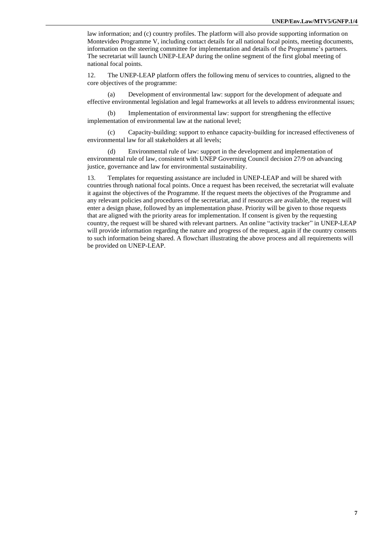law information; and (c) country profiles. The platform will also provide supporting information on Montevideo Programme V, including contact details for all national focal points, meeting documents, information on the steering committee for implementation and details of the Programme's partners. The secretariat will launch UNEP-LEAP during the online segment of the first global meeting of national focal points.

12. The UNEP-LEAP platform offers the following menu of services to countries, aligned to the core objectives of the programme:

(a) Development of environmental law: support for the development of adequate and effective environmental legislation and legal frameworks at all levels to address environmental issues;

(b) Implementation of environmental law: support for strengthening the effective implementation of environmental law at the national level;

(c) Capacity-building: support to enhance capacity-building for increased effectiveness of environmental law for all stakeholders at all levels;

(d) Environmental rule of law: support in the development and implementation of environmental rule of law, consistent with UNEP Governing Council decision 27/9 on advancing justice, governance and law for environmental sustainability.

13. Templates for requesting assistance are included in UNEP-LEAP and will be shared with countries through national focal points. Once a request has been received, the secretariat will evaluate it against the objectives of the Programme. If the request meets the objectives of the Programme and any relevant policies and procedures of the secretariat, and if resources are available, the request will enter a design phase, followed by an implementation phase. Priority will be given to those requests that are aligned with the priority areas for implementation. If consent is given by the requesting country, the request will be shared with relevant partners. An online "activity tracker" in UNEP-LEAP will provide information regarding the nature and progress of the request, again if the country consents to such information being shared. A flowchart illustrating the above process and all requirements will be provided on UNEP-LEAP.